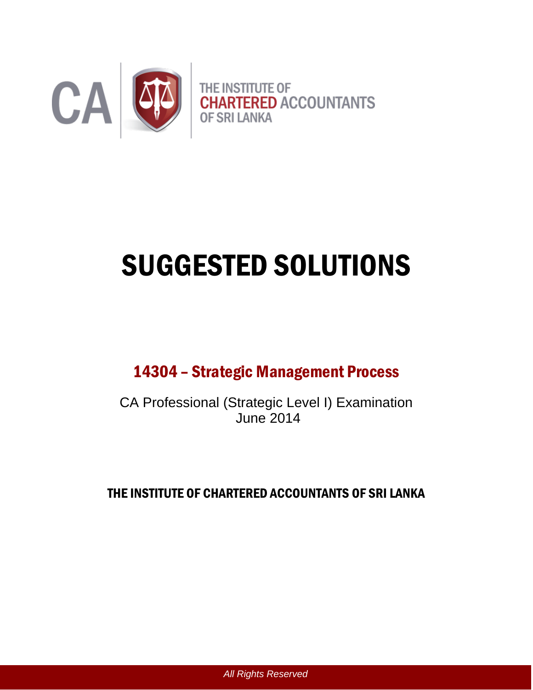

# SUGGESTED SOLUTIONS

## 14304 – Strategic Management Process

CA Professional (Strategic Level I) Examination June 2014

THE INSTITUTE OF CHARTERED ACCOUNTANTS OF SRI LANKA

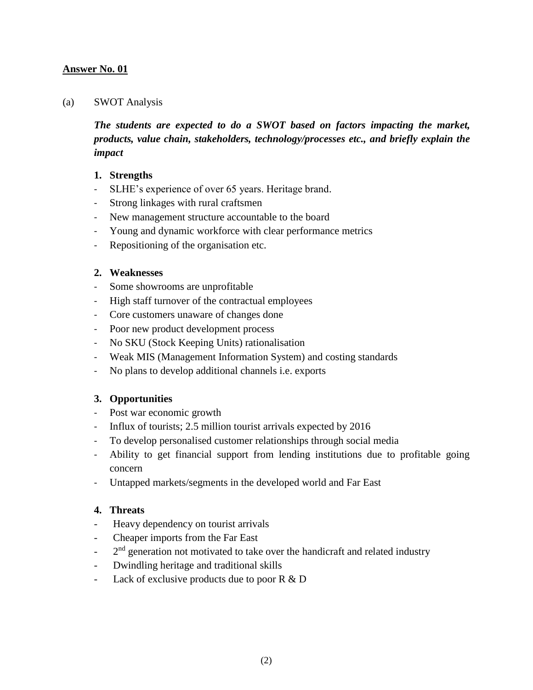#### (a) SWOT Analysis

*The students are expected to do a SWOT based on factors impacting the market, products, value chain, stakeholders, technology/processes etc., and briefly explain the impact*

#### **1. Strengths**

- SLHE's experience of over 65 years. Heritage brand.
- Strong linkages with rural craftsmen
- New management structure accountable to the board
- Young and dynamic workforce with clear performance metrics
- Repositioning of the organisation etc.

#### **2. Weaknesses**

- Some showrooms are unprofitable
- High staff turnover of the contractual employees
- Core customers unaware of changes done
- Poor new product development process
- No SKU (Stock Keeping Units) rationalisation
- Weak MIS (Management Information System) and costing standards
- No plans to develop additional channels i.e. exports

#### **3. Opportunities**

- Post war economic growth
- Influx of tourists; 2.5 million tourist arrivals expected by 2016
- To develop personalised customer relationships through social media
- Ability to get financial support from lending institutions due to profitable going concern
- Untapped markets/segments in the developed world and Far East

#### **4. Threats**

- Heavy dependency on tourist arrivals
- Cheaper imports from the Far East
- $2<sup>nd</sup>$  generation not motivated to take over the handicraft and related industry
- Dwindling heritage and traditional skills
- Lack of exclusive products due to poor  $R \& D$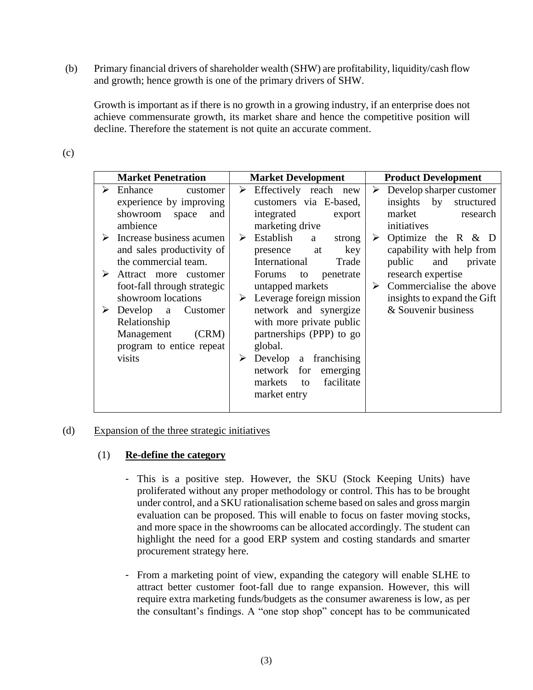(b) Primary financial drivers of shareholder wealth (SHW) are profitability, liquidity/cash flow and growth; hence growth is one of the primary drivers of SHW.

Growth is important as if there is no growth in a growing industry, if an enterprise does not achieve commensurate growth, its market share and hence the competitive position will decline. Therefore the statement is not quite an accurate comment.

| ×<br>۰,<br>I |  |
|--------------|--|

|   | <b>Market Penetration</b>                 | <b>Market Development</b>     | <b>Product Development</b>    |
|---|-------------------------------------------|-------------------------------|-------------------------------|
| ➤ | Enhance<br>customer                       | ➤<br>Effectively reach new    | Develop sharper customer<br>➤ |
|   | experience by improving                   | customers via E-based,        | insights<br>by<br>structured  |
|   | showroom<br>space<br>and                  | integrated<br>export          | market<br>research            |
|   | ambience                                  | marketing drive               | initiatives                   |
|   | $\triangleright$ Increase business acumen | Establish<br>➤<br>a<br>strong | Optimize the $R \& D$<br>➤    |
|   | and sales productivity of                 | key<br>at<br>presence         | capability with help from     |
|   | the commercial team.                      | International<br>Trade        | public<br>and<br>private      |
| ➤ | Attract more customer                     | Forums<br>penetrate<br>to     | research expertise            |
|   | foot-fall through strategic               | untapped markets              | Commercialise the above<br>➤  |
|   | showroom locations                        | Leverage foreign mission<br>➤ | insights to expand the Gift   |
| ➤ | Develop a<br>Customer                     | network and synergize         | & Souvenir business           |
|   | Relationship                              | with more private public      |                               |
|   | Management<br>(CRM)                       | partnerships (PPP) to go      |                               |
|   | program to entice repeat                  | global.                       |                               |
|   | visits                                    | franchising<br>➤<br>Develop a |                               |
|   |                                           | for<br>network<br>emerging    |                               |
|   |                                           | facilitate<br>markets<br>to   |                               |
|   |                                           | market entry                  |                               |
|   |                                           |                               |                               |

#### (d) Expansion of the three strategic initiatives

#### (1) **Re-define the category**

- This is a positive step. However, the SKU (Stock Keeping Units) have proliferated without any proper methodology or control. This has to be brought under control, and a SKU rationalisation scheme based on sales and gross margin evaluation can be proposed. This will enable to focus on faster moving stocks, and more space in the showrooms can be allocated accordingly. The student can highlight the need for a good ERP system and costing standards and smarter procurement strategy here.
- From a marketing point of view, expanding the category will enable SLHE to attract better customer foot-fall due to range expansion. However, this will require extra marketing funds/budgets as the consumer awareness is low, as per the consultant's findings. A "one stop shop" concept has to be communicated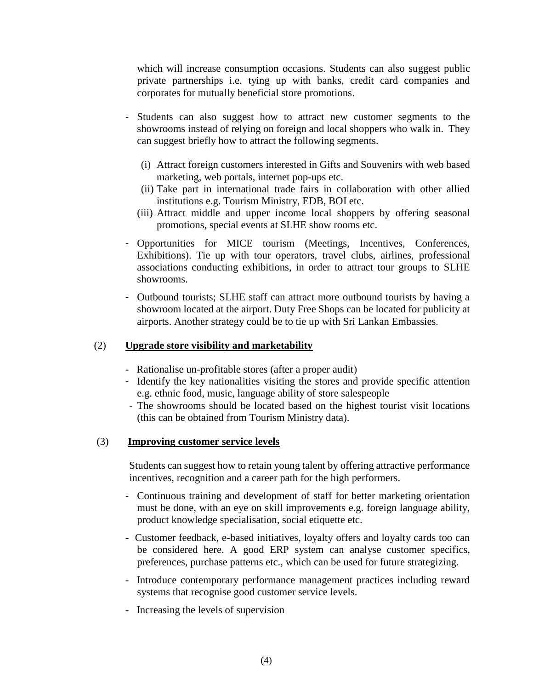which will increase consumption occasions. Students can also suggest public private partnerships i.e. tying up with banks, credit card companies and corporates for mutually beneficial store promotions.

- Students can also suggest how to attract new customer segments to the showrooms instead of relying on foreign and local shoppers who walk in. They can suggest briefly how to attract the following segments.
	- (i) Attract foreign customers interested in Gifts and Souvenirs with web based marketing, web portals, internet pop-ups etc.
	- (ii) Take part in international trade fairs in collaboration with other allied institutions e.g. Tourism Ministry, EDB, BOI etc.
	- (iii) Attract middle and upper income local shoppers by offering seasonal promotions, special events at SLHE show rooms etc.
- Opportunities for MICE tourism (Meetings, Incentives, Conferences, Exhibitions). Tie up with tour operators, travel clubs, airlines, professional associations conducting exhibitions, in order to attract tour groups to SLHE showrooms.
- Outbound tourists; SLHE staff can attract more outbound tourists by having a showroom located at the airport. Duty Free Shops can be located for publicity at airports. Another strategy could be to tie up with Sri Lankan Embassies.

#### (2) **Upgrade store visibility and marketability**

- Rationalise un-profitable stores (after a proper audit)
- Identify the key nationalities visiting the stores and provide specific attention e.g. ethnic food, music, language ability of store salespeople
- The showrooms should be located based on the highest tourist visit locations (this can be obtained from Tourism Ministry data).

#### (3) **Improving customer service levels**

 Students can suggest how to retain young talent by offering attractive performance incentives, recognition and a career path for the high performers.

- Continuous training and development of staff for better marketing orientation must be done, with an eye on skill improvements e.g. foreign language ability, product knowledge specialisation, social etiquette etc.
- Customer feedback, e-based initiatives, loyalty offers and loyalty cards too can be considered here. A good ERP system can analyse customer specifics, preferences, purchase patterns etc., which can be used for future strategizing.
- Introduce contemporary performance management practices including reward systems that recognise good customer service levels.
- Increasing the levels of supervision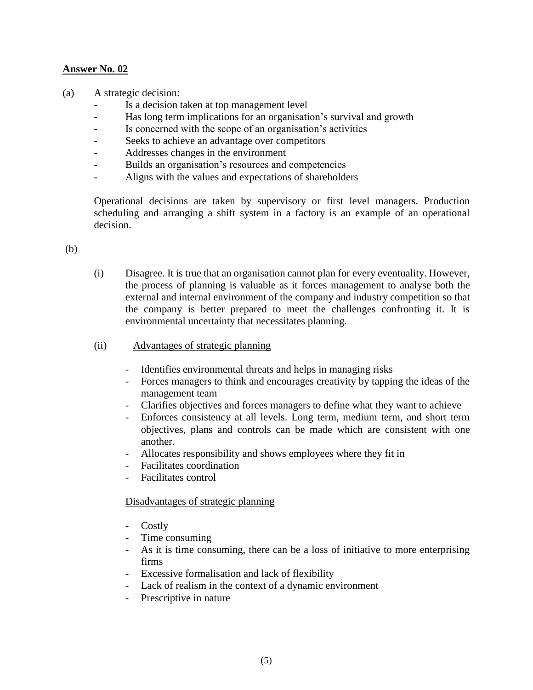(a) A strategic decision:

- Is a decision taken at top management level
- Has long term implications for an organisation's survival and growth
- Is concerned with the scope of an organisation's activities
- Seeks to achieve an advantage over competitors
- Addresses changes in the environment
- Builds an organisation's resources and competencies
- Aligns with the values and expectations of shareholders

Operational decisions are taken by supervisory or first level managers. Production scheduling and arranging a shift system in a factory is an example of an operational decision.

(b)

- (i) Disagree. It is true that an organisation cannot plan for every eventuality. However, the process of planning is valuable as it forces management to analyse both the external and internal environment of the company and industry competition so that the company is better prepared to meet the challenges confronting it. It is environmental uncertainty that necessitates planning.
- (ii)Advantages of strategic planning
	- Identifies environmental threats and helps in managing risks
	- Forces managers to think and encourages creativity by tapping the ideas of the management team
	- Clarifies objectives and forces managers to define what they want to achieve
	- Enforces consistency at all levels. Long term, medium term, and short term objectives, plans and controls can be made which are consistent with one another.
	- Allocates responsibility and shows employees where they fit in
	- Facilitates coordination
	- Facilitates control

#### Disadvantages of strategic planning

- Costly
- Time consuming
- As it is time consuming, there can be a loss of initiative to more enterprising firms
- Excessive formalisation and lack of flexibility
- Lack of realism in the context of a dynamic environment
- Prescriptive in nature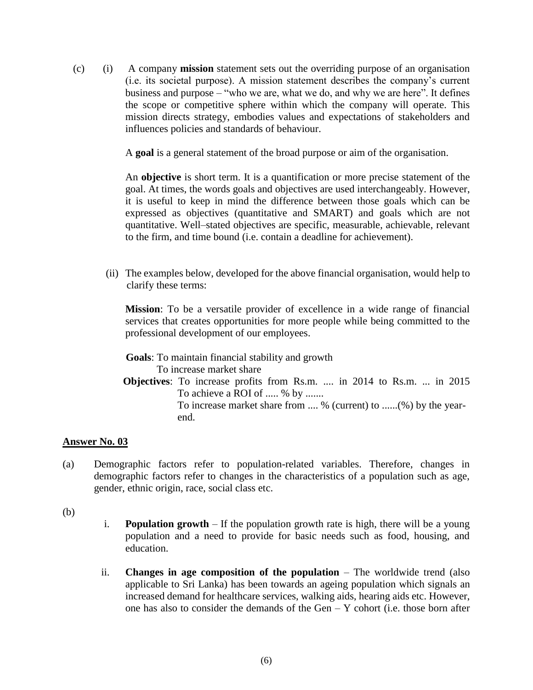(c) (i) A company **mission** statement sets out the overriding purpose of an organisation (i.e. its societal purpose). A mission statement describes the company's current business and purpose – "who we are, what we do, and why we are here". It defines the scope or competitive sphere within which the company will operate. This mission directs strategy, embodies values and expectations of stakeholders and influences policies and standards of behaviour.

A **goal** is a general statement of the broad purpose or aim of the organisation.

An **objective** is short term. It is a quantification or more precise statement of the goal. At times, the words goals and objectives are used interchangeably. However, it is useful to keep in mind the difference between those goals which can be expressed as objectives (quantitative and SMART) and goals which are not quantitative. Well–stated objectives are specific, measurable, achievable, relevant to the firm, and time bound (i.e. contain a deadline for achievement).

(ii) The examples below, developed for the above financial organisation, would help to clarify these terms:

**Mission**: To be a versatile provider of excellence in a wide range of financial services that creates opportunities for more people while being committed to the professional development of our employees.

 **Goals**: To maintain financial stability and growth To increase market share  **Objectives**: To increase profits from Rs.m. .... in 2014 to Rs.m. ... in 2015 To achieve a ROI of ..... % by ....... To increase market share from .... % (current) to ......(%) by the year end.

#### **Answer No. 03**

(a) Demographic factors refer to population-related variables. Therefore, changes in demographic factors refer to changes in the characteristics of a population such as age, gender, ethnic origin, race, social class etc.

(b)

- i. **Population growth** If the population growth rate is high, there will be a young population and a need to provide for basic needs such as food, housing, and education.
- ii. **Changes in age composition of the population** The worldwide trend (also applicable to Sri Lanka) has been towards an ageing population which signals an increased demand for healthcare services, walking aids, hearing aids etc. However, one has also to consider the demands of the Gen – Y cohort (i.e. those born after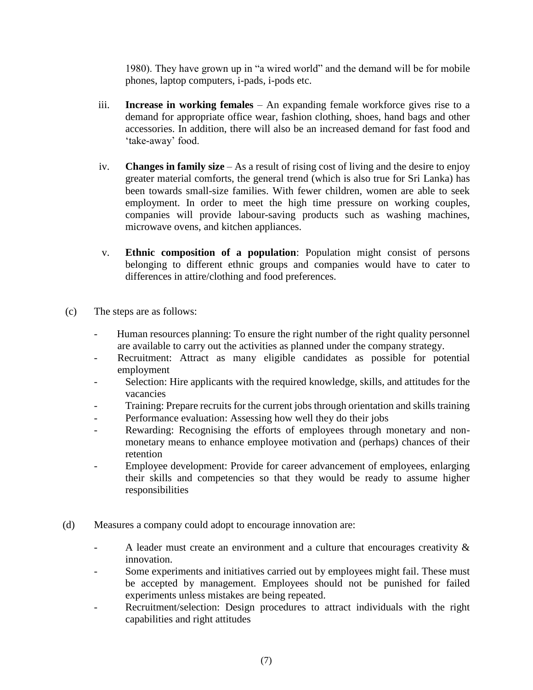1980). They have grown up in "a wired world" and the demand will be for mobile phones, laptop computers, i-pads, i-pods etc.

- iii. **Increase in working females** An expanding female workforce gives rise to a demand for appropriate office wear, fashion clothing, shoes, hand bags and other accessories. In addition, there will also be an increased demand for fast food and 'take-away' food.
- iv. **Changes in family size** As a result of rising cost of living and the desire to enjoy greater material comforts, the general trend (which is also true for Sri Lanka) has been towards small-size families. With fewer children, women are able to seek employment. In order to meet the high time pressure on working couples, companies will provide labour-saving products such as washing machines, microwave ovens, and kitchen appliances.
- v. **Ethnic composition of a population**: Population might consist of persons belonging to different ethnic groups and companies would have to cater to differences in attire/clothing and food preferences.
- (c) The steps are as follows:
	- Human resources planning: To ensure the right number of the right quality personnel are available to carry out the activities as planned under the company strategy.
	- Recruitment: Attract as many eligible candidates as possible for potential employment
	- Selection: Hire applicants with the required knowledge, skills, and attitudes for the vacancies
	- Training: Prepare recruits for the current jobs through orientation and skills training
	- Performance evaluation: Assessing how well they do their jobs
	- Rewarding: Recognising the efforts of employees through monetary and nonmonetary means to enhance employee motivation and (perhaps) chances of their retention
	- Employee development: Provide for career advancement of employees, enlarging their skills and competencies so that they would be ready to assume higher responsibilities
- (d) Measures a company could adopt to encourage innovation are:
	- A leader must create an environment and a culture that encourages creativity & innovation.
	- Some experiments and initiatives carried out by employees might fail. These must be accepted by management. Employees should not be punished for failed experiments unless mistakes are being repeated.
	- Recruitment/selection: Design procedures to attract individuals with the right capabilities and right attitudes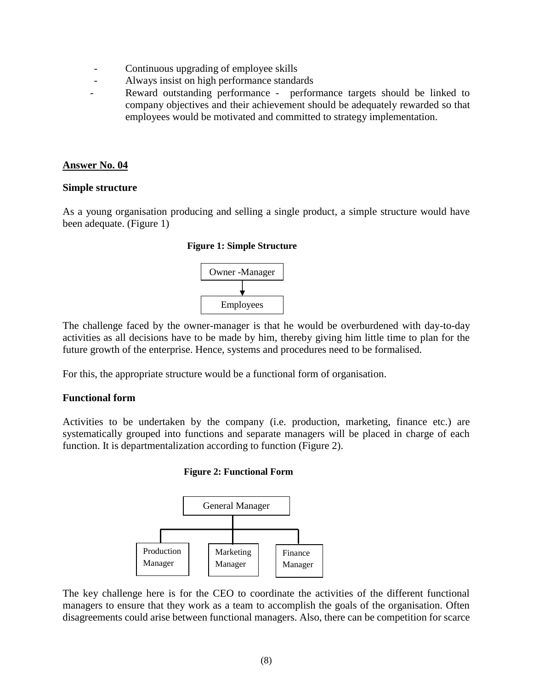- Continuous upgrading of employee skills
- Always insist on high performance standards
- Reward outstanding performance performance targets should be linked to company objectives and their achievement should be adequately rewarded so that employees would be motivated and committed to strategy implementation.

#### **Simple structure**

As a young organisation producing and selling a single product, a simple structure would have been adequate. (Figure 1)

#### **Figure 1: Simple Structure**



The challenge faced by the owner-manager is that he would be overburdened with day-to-day activities as all decisions have to be made by him, thereby giving him little time to plan for the future growth of the enterprise. Hence, systems and procedures need to be formalised.

For this, the appropriate structure would be a functional form of organisation.

#### **Functional form**

Activities to be undertaken by the company (i.e. production, marketing, finance etc.) are systematically grouped into functions and separate managers will be placed in charge of each function. It is departmentalization according to function (Figure 2).

#### **Figure 2: Functional Form**



The key challenge here is for the CEO to coordinate the activities of the different functional managers to ensure that they work as a team to accomplish the goals of the organisation. Often disagreements could arise between functional managers. Also, there can be competition for scarce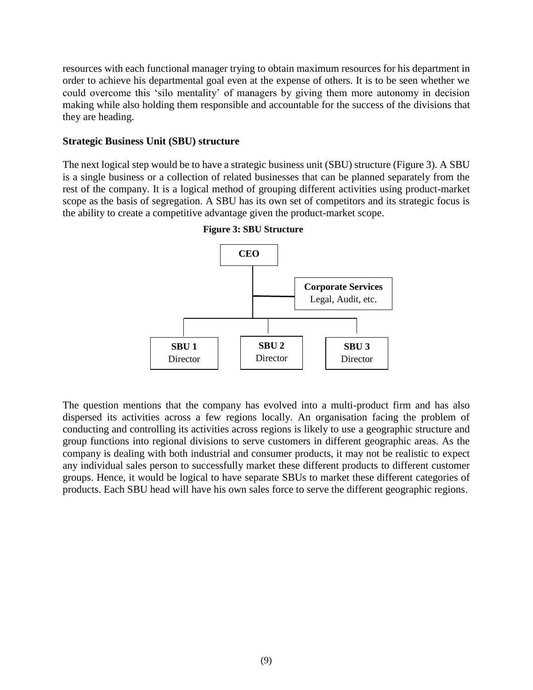resources with each functional manager trying to obtain maximum resources for his department in order to achieve his departmental goal even at the expense of others. It is to be seen whether we could overcome this 'silo mentality' of managers by giving them more autonomy in decision making while also holding them responsible and accountable for the success of the divisions that they are heading.

#### **Strategic Business Unit (SBU) structure**

The next logical step would be to have a strategic business unit (SBU) structure (Figure 3). A SBU is a single business or a collection of related businesses that can be planned separately from the rest of the company. It is a logical method of grouping different activities using product-market scope as the basis of segregation. A SBU has its own set of competitors and its strategic focus is the ability to create a competitive advantage given the product-market scope.



 **Figure 3: SBU Structure**

The question mentions that the company has evolved into a multi-product firm and has also dispersed its activities across a few regions locally. An organisation facing the problem of conducting and controlling its activities across regions is likely to use a geographic structure and group functions into regional divisions to serve customers in different geographic areas. As the company is dealing with both industrial and consumer products, it may not be realistic to expect any individual sales person to successfully market these different products to different customer groups. Hence, it would be logical to have separate SBUs to market these different categories of products. Each SBU head will have his own sales force to serve the different geographic regions.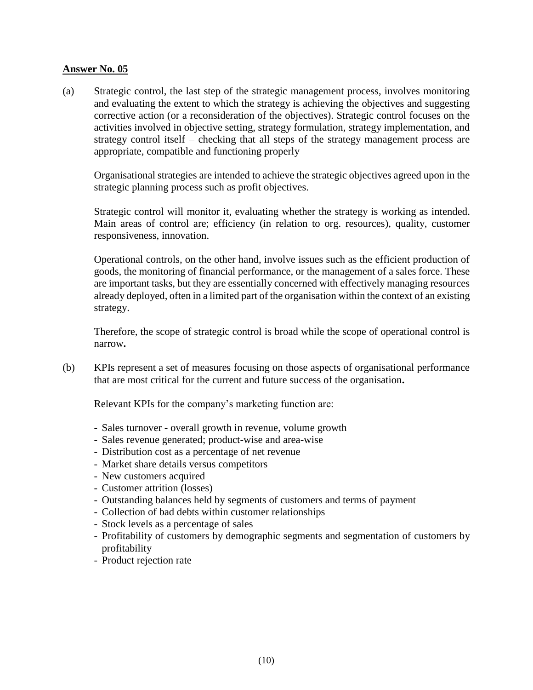(a) Strategic control, the last step of the strategic management process, involves monitoring and evaluating the extent to which the strategy is achieving the objectives and suggesting corrective action (or a reconsideration of the objectives). Strategic control focuses on the activities involved in objective setting, strategy formulation, strategy implementation, and strategy control itself – checking that all steps of the strategy management process are appropriate, compatible and functioning properly

Organisational strategies are intended to achieve the strategic objectives agreed upon in the strategic planning process such as profit objectives.

Strategic control will monitor it, evaluating whether the strategy is working as intended. Main areas of control are; efficiency (in relation to org. resources), quality, customer responsiveness, innovation.

Operational controls, on the other hand, involve issues such as the efficient production of goods, the monitoring of financial performance, or the management of a sales force. These are important tasks, but they are essentially concerned with effectively managing resources already deployed, often in a limited part of the organisation within the context of an existing strategy.

Therefore, the scope of strategic control is broad while the scope of operational control is narrow**.** 

(b) KPIs represent a set of measures focusing on those aspects of organisational performance that are most critical for the current and future success of the organisation**.** 

Relevant KPIs for the company's marketing function are:

- Sales turnover overall growth in revenue, volume growth
- Sales revenue generated; product-wise and area-wise
- Distribution cost as a percentage of net revenue
- Market share details versus competitors
- New customers acquired
- Customer attrition (losses)
- Outstanding balances held by segments of customers and terms of payment
- Collection of bad debts within customer relationships
- Stock levels as a percentage of sales
- Profitability of customers by demographic segments and segmentation of customers by profitability
- Product rejection rate